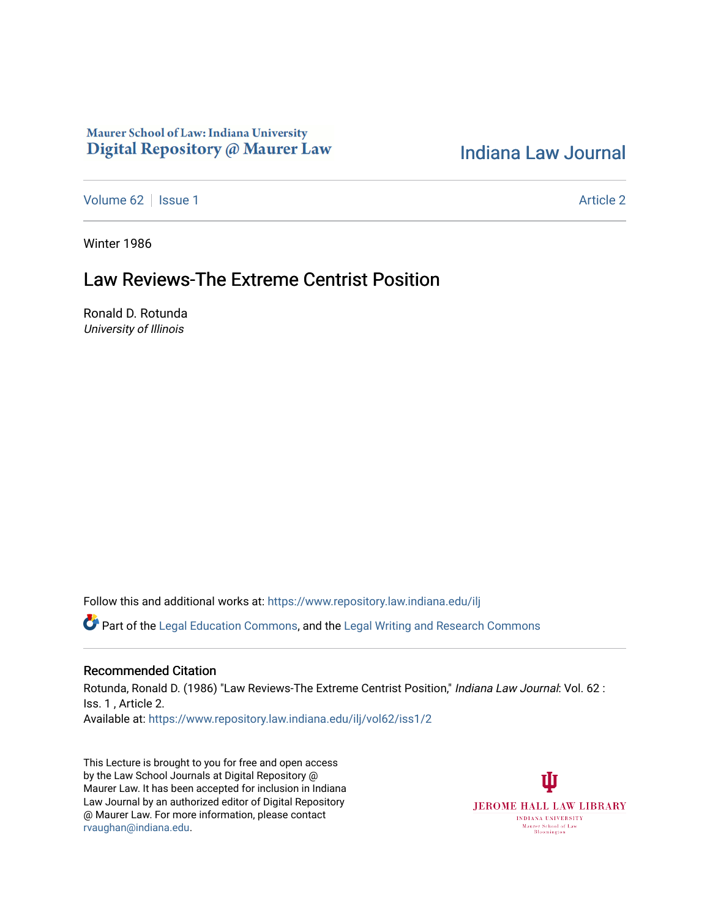## Maurer School of Law: Indiana University Digital Repository @ Maurer Law

## [Indiana Law Journal](https://www.repository.law.indiana.edu/ilj)

[Volume 62](https://www.repository.law.indiana.edu/ilj/vol62) | [Issue 1](https://www.repository.law.indiana.edu/ilj/vol62/iss1) [Article 2](https://www.repository.law.indiana.edu/ilj/vol62/iss1/2) | Article 2 | Article 2 | Article 2 | Article 2 | Article 2 | Article 2 | Article 2

Winter 1986

# Law Reviews-The Extreme Centrist Position

Ronald D. Rotunda University of Illinois

Follow this and additional works at: [https://www.repository.law.indiana.edu/ilj](https://www.repository.law.indiana.edu/ilj?utm_source=www.repository.law.indiana.edu%2Filj%2Fvol62%2Fiss1%2F2&utm_medium=PDF&utm_campaign=PDFCoverPages) 

Part of the [Legal Education Commons,](http://network.bepress.com/hgg/discipline/857?utm_source=www.repository.law.indiana.edu%2Filj%2Fvol62%2Fiss1%2F2&utm_medium=PDF&utm_campaign=PDFCoverPages) and the [Legal Writing and Research Commons](http://network.bepress.com/hgg/discipline/614?utm_source=www.repository.law.indiana.edu%2Filj%2Fvol62%2Fiss1%2F2&utm_medium=PDF&utm_campaign=PDFCoverPages)

#### Recommended Citation

Rotunda, Ronald D. (1986) "Law Reviews-The Extreme Centrist Position," Indiana Law Journal: Vol. 62 : Iss. 1 , Article 2. Available at: [https://www.repository.law.indiana.edu/ilj/vol62/iss1/2](https://www.repository.law.indiana.edu/ilj/vol62/iss1/2?utm_source=www.repository.law.indiana.edu%2Filj%2Fvol62%2Fiss1%2F2&utm_medium=PDF&utm_campaign=PDFCoverPages) 

This Lecture is brought to you for free and open access by the Law School Journals at Digital Repository @ Maurer Law. It has been accepted for inclusion in Indiana Law Journal by an authorized editor of Digital Repository @ Maurer Law. For more information, please contact [rvaughan@indiana.edu.](mailto:rvaughan@indiana.edu)

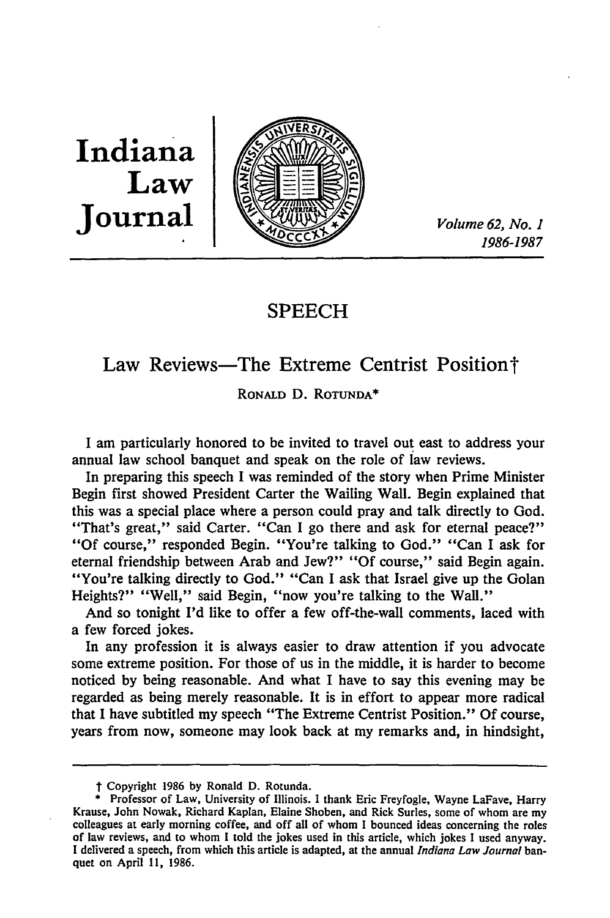**Indiana Law**



*1986-1987*

## **SPEECH**

## Law Reviews—The Extreme Centrist Position†

RONALD **D. ROTUNDA\***

**I** am particularly honored to be invited to travel out east to address your annual law school banquet and speak on the role of **law** reviews.

In preparing this speech **I** was reminded of the story when Prime Minister Begin first showed President Carter the Wailing Wall. Begin explained that this was a special place where a person could pray and talk directly to God. "That's great," said Carter. "Can **I** go there and ask for eternal peace?" **"Of** course," responded Begin. "You're talking to God." "Can I ask for eternal friendship between Arab and Jew?" **"Of** course," said Begin again. "You're talking directly to God." "Can I ask that Israel give up the Golan Heights?" "Well," said Begin, "now you're talking to the Wall."

And so tonight I'd like to offer a few off-the-wall comments, laced with a few forced jokes.

In any profession it is always easier to draw attention if you advocate some extreme position. For those of us in the middle, it is harder to become noticed **by** being reasonable. And what **I** have to say this evening may be regarded as being merely reasonable. It is in effort to appear more radical that **I** have subtitled my speech "The Extreme Centrist Position." **Of** course, years from now, someone may look back at my remarks and, in hindsight,

t Copyright **1986 by** Ronald **D.** Rotunda.

**<sup>\*</sup>** Professor of Law, University of Illinois. I thank Eric Freyfogle, Wayne LaFave, Harry Krause, John Nowak, Richard Kaplan, Elaine Shoben, and Rick Surles, some of whom are my colleagues at early morning coffee, and off all of whom **I** bounced ideas concerning the roles of law reviews, and to whom **I** told the jokes used in this article, which jokes **I** used anyway. **I** delivered a speech, from which this article is adapted, at the annual *Indiana Law Journal* banquet on April **11, 1986.**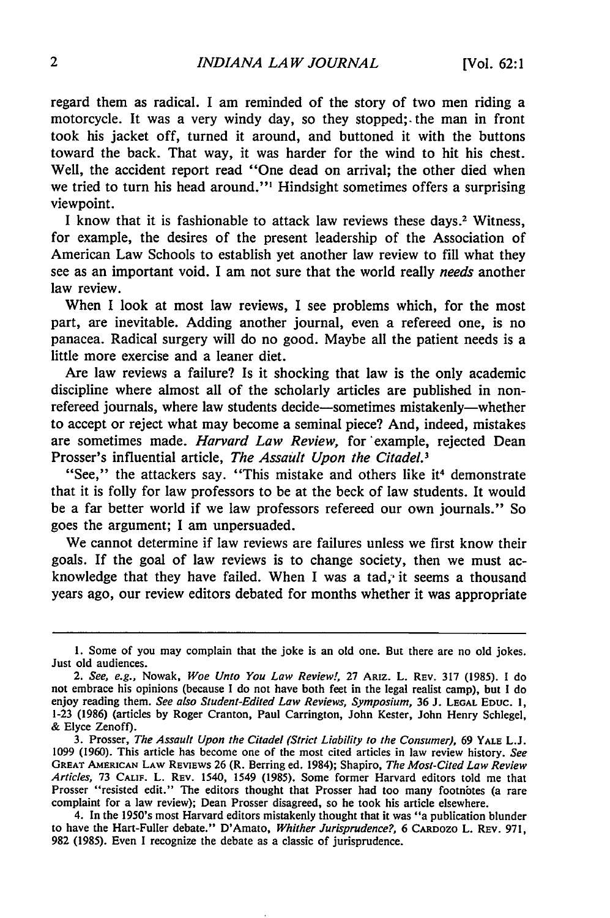regard them as radical. I am reminded of the story of two men riding a motorcycle. It was a very windy day, so they stopped;-the man in front took his jacket off, turned it around, and buttoned it with the buttons toward the back. That way, it was harder for the wind to hit his chest. Well, the accident report read "One dead on arrival; the other died when we tried to turn his head around."<sup>1</sup> Hindsight sometimes offers a surprising viewpoint.

I know that it is fashionable to attack law reviews these days.<sup>2</sup> Witness, for example, the desires of the present leadership of the Association of American Law Schools to establish yet another law review to fill what they see as an important void. I am not sure that the world really *needs* another law review.

When I look at most law reviews, I see problems which, for the most part, are inevitable. Adding another journal, even a refereed one, is no panacea. Radical surgery will do no good. Maybe all the patient needs is a little more exercise and a leaner diet.

Are law reviews a failure? Is it shocking that law is the only academic discipline where almost all of the scholarly articles are published in nonrefereed journals, where law students decide-sometimes mistakenly-whether to accept or reject what may become a seminal piece? And, indeed, mistakes are sometimes made. *Harvard Law Review,* for example, rejected Dean Prosser's influential article, *The Assault Upon the Citadel.'*

"See," the attackers say. "This mistake and others like  $i<sup>4</sup>$  demonstrate that it is folly for law professors to be at the beck of law students. It would be a far better world if we law professors refereed our own journals." So goes the argument; I am unpersuaded.

We cannot determine if law reviews are failures unless we first know their goals. If the goal of law reviews is to change society, then we must acknowledge that they have failed. When I was a tad,' it seems a thousand years ago, our review editors debated for months whether it was appropriate

**<sup>1.</sup>** Some of you may complain that the joke is an old one. But there are no old jokes. Just old audiences.

*<sup>2.</sup> See, e.g.,* Nowak, *Woe Unto You Law Review!,* 27 **ARIZ.** L. REv. **317** (1985). **1** do not embrace his opinions (because I do not have both feet in the legal realist camp), but I do enjoy reading them. *See also Student-Edited Law Reviews, Symposium,* 36 J. **LEGAL EDUC.** 1, 1-23 (1986) (articles by Roger Cranton, Paul Carrington, John Kester, John Henry Schlegel, & Elyce Zenoff).

<sup>3.</sup> Prosser, *The Assault Upon the Citadel (Strict Liability to the Consumer),* 69 YALE L.J. 1099 (1960). This article has become one of the most cited articles in law review history. *See* **GREAT** AMERICAN LAW REVIEws 26 (R. Berring ed. 1984); Shapiro, *The Most-Cited Law Review Articles,* 73 CALIF. L. REv. 1540, 1549 (1985). Some former Harvard editors told me that Prosser "resisted edit." The editors thought that Prosser had too many footnotes (a rare complaint for a law review); Dean Prosser disagreed, so he took his article elsewhere.

<sup>4.</sup> In the 1950's most Harvard editors mistakenly thought that it was "a publication blunder to have the Hart-Fuller debate." D'Amato, *Whither Jurisprudence?,* 6 CARDozo L. REV. 971, 982 (1985). Even I recognize the debate as a classic of jurisprudence.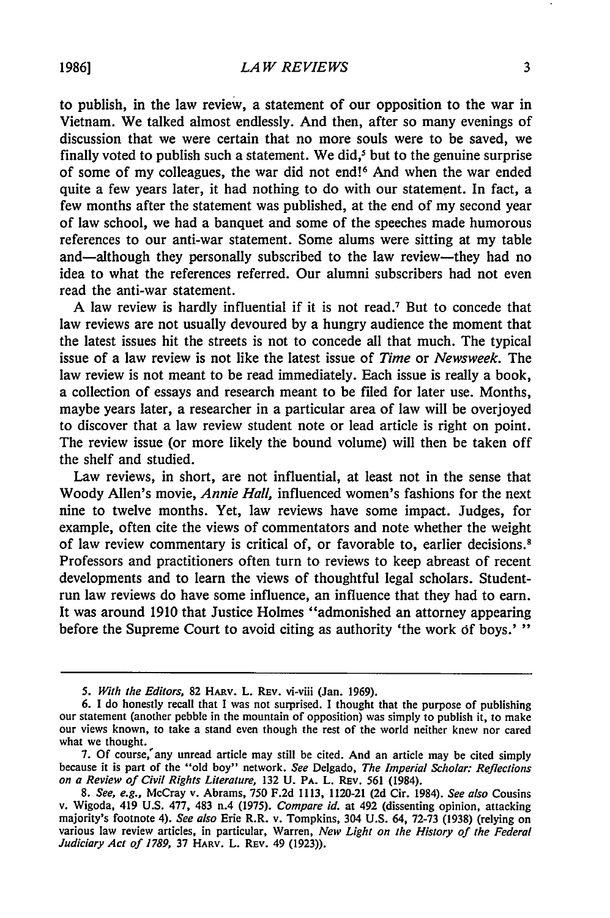to publish, in the law review, a statement of our opposition to the war in Vietnam. We talked almost endlessly. And then, after so many evenings of discussion that we were certain that no more souls were to be saved, we finally voted to publish such a statement. We did,<sup> $\frac{s}{s}$ </sup> but to the genuine surprise of some of my colleagues, the war did not end!<sup>6</sup> And when the war ended quite a few years later, it had nothing to do with our statement. In fact, a few months after the statement was published, at the end of my second year of law school, we had a banquet and some of the speeches made humorous references to our anti-war statement. Some alums were sitting at my table and-although they personally subscribed to the law review-they had no idea to what the references referred. Our alumni subscribers had not even read the anti-war statement.

A law review is hardly influential if it is not read.7 But to concede that law reviews are not usually devoured by a hungry audience the moment that the latest issues hit the streets is not to concede all that much. The typical issue of a law review is not like the latest issue of *Time* or *Newsweek.* The law review is not meant to be read immediately. Each issue is really a book, a collection of essays and research meant to be filed for later use. Months, maybe years later, a researcher in a particular area of law will be overjoyed to discover that a law review student note or lead article is right on point. The review issue (or more likely the bound volume) will then be taken off the shelf and studied.

Law reviews, in short, are not influential, at least not in the sense that Woody Allen's movie, *Annie Hall,* influenced women's fashions for the next nine to twelve months. Yet, law reviews have some impact. Judges, for example, often cite the views of commentators and note whether the weight of law review commentary is critical of, or favorable to, earlier decisions.8 Professors and practitioners often turn to reviews to keep abreast of recent developments and to learn the views of thoughtful legal scholars. Studentrun law reviews do have some influence, an influence that they had to earn. It was around 1910 that Justice Holmes "admonished an attorney appearing before the Supreme Court to avoid citing as authority 'the work of boys.'

<sup>5.</sup> With the Editors, 82 HARV. L. REV. vi-viii (Jan. 1969).

<sup>6.</sup> I do honestly recall that I was not surprised. I thought that the purpose of publishing<br>our statement (another pebble in the mountain of opposition) was simply to publish it, to make<br>our views known, to take a stand eve what we thought.

<sup>7.</sup> Of course, any unread article may still be cited. And an article may be cited simply because it is part of the "old boy" network. See Delgado, *The Imperial Scholar: Reflections on a Review of Civil Rights Literature*,

<sup>8.</sup> See, e.g., McCray v. Abrams, 750 F.2d 1113, 1120-21 (2d Cir. 1984). See also Cousins v. Wigoda, 419 U.S. 477, 483 n.4 (1975). Compare id. at 492 (dissenting opinion, attacking majority's footnote 4). *See also* Erie R.R. v. Tompkins, 304 **U.S.** 64, **72-73 (1938)** (relying on various law review articles, in particular, Warren, *New Light on the History of the Federal Judiciary Act of 1789,* **37 HARv.** L. **REV.** 49 **(1923)).**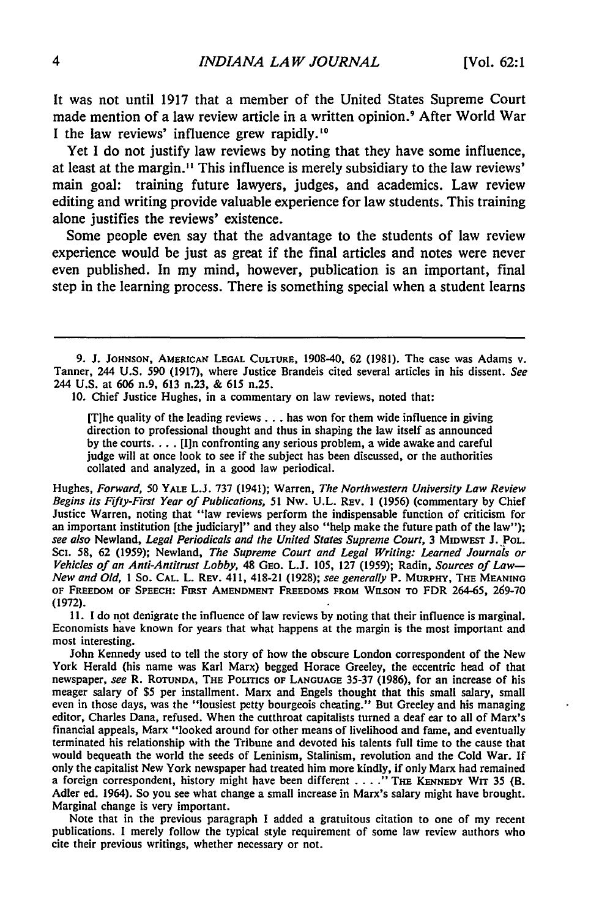It was not until 1917 that a member of the United States Supreme Court made mention of a law review article in a written opinion." After World War I the law reviews' influence grew rapidly.<sup>10</sup>

Yet I do not justify law reviews by noting that they have some influence, at least at the margin." This influence is merely subsidiary to the law reviews' main goal: training future lawyers, judges, and academics. Law review editing and writing provide valuable experience for law students. This training alone justifies the reviews' existence.

Some people even say that the advantage to the students of law review experience would be just as great if the final articles and notes were never even published. In my mind, however, publication is an important, final step in the learning process. There is something special when a student learns

[T]he quality of the leading reviews **...** has won for them wide influence in giving direction to professional thought and thus in shaping the law itself as announced by the courts **....** [I]n confronting any serious problem, a wide awake and careful judge will at once look to see if the subject has been discussed, or the authorities collated and analyzed, in a good law periodical.

Hughes, *Forward,* 50 **YALE L.J. 737** (1941); Warren, *The Northwestern University Law Review Begins its Fifty-First Year of Publications,* 51 Nw. **U.L.** REV. 1 (1956) (commentary **by** Chief Justice Warren, noting that "law reviews perform the indispensable function of criticism for an important institution [the judiciary]" and they also "help make the future path of the law"); *see also* Newland, *Legal Periodicals and the United States Supreme Court,* 3 MIDWEST **J.** POL. **SCI.** 58, 62 (1959); Newland, *The Supreme Court and Legal Writing: Learned Journals or Vehicles of an Anti-Antitrust Lobby,* 48 GEo. L.J. 105, 127 (1959); Radin, *Sources of Law-New and Old, I* So. **CAL.** L. REV. 411, 418-21 (1928); *see generally* P. **MURPHY, THE MEANING** OF FREEDOM **OF SPEECH:** FIRST **AMENDMENT** FREEDOMS **FROM WILSON TO** FDR 264-65, 269-70 (1972).

11. **1** do not denigrate the influence of law reviews by noting that their influence is marginal. Economists have known for years that what happens at the margin is the most important and most interesting.

John Kennedy used to tell the story of how the obscure London correspondent of the New York Herald (his name was Karl Marx) begged Horace Greeley, the eccentric head of that newspaper, *see* R. **ROTUNDA,** THE **POLmCS OF LANGUAGE 35-37 (1986), for an** increase **of** his meager salary of **\$5** per installment. Marx and Engels thought that this small salary, small even in those days, was the "lousiest petty bourgeois cheating." But Greeley and his managing editor, Charles Dana, refused. When the cutthroat capitalists turned a deaf ear to all of Marx's financial appeals, Marx "looked around for other means of livelihood and fame, and eventually terminated his relationship with the Tribune and devoted his talents full time to the cause that would bequeath the world the seeds of Leninism, Stalinism, revolution and the Cold War. If only the capitalist New York newspaper had treated him more kindly, if only Marx had remained a foreign correspondent, history might have been different .... **" THE KENNEDY** *Wrr* **35** (B. Adler ed. 1964). So you see what change a small increase in Marx's salary might have brought. Marginal change is very important.

Note that in the previous paragraph I added a gratuitous citation to one of my recent publications. I merely follow the typical style requirement of some law review authors who cite their previous writings, whether necessary or not.

**<sup>9.</sup> J. JOHNSON, AMERICAN LEGAL CULTURE,** 1908-40, **62 (1981).** The case was Adams v. Tanner, 244 U.S. **590** (1917), where Justice Brandeis cited several articles in his dissent. *See* 244 U.S. at 606 n.9, **613** n.23, **& 615** n.25.

<sup>10.</sup> Chief Justice Hughes, in a commentary on law reviews, noted that: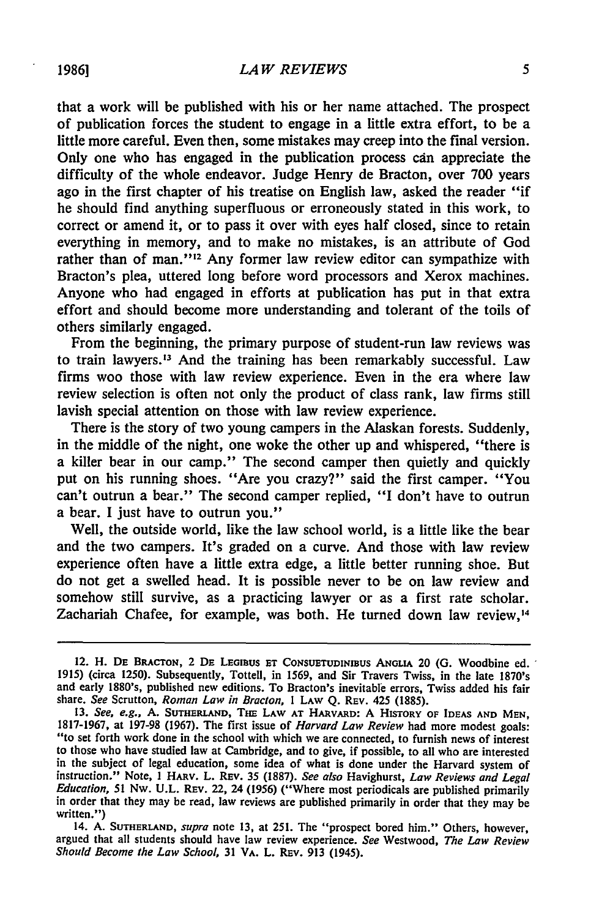that a work will be published with his or her name attached. The prospect of publication forces the student to engage in a little extra effort, to be a little more careful. Even then, some mistakes may creep into the final version. Only one who has engaged in the publication process can appreciate the difficulty of the whole endeavor. Judge Henry de Bracton, over 700 years ago in the first chapter of his treatise on English law, asked the reader "if he should find anything superfluous or erroneously stated in this work, to correct or amend it, or to pass it over with eyes half closed, since to retain everything in memory, and to make no mistakes, is an attribute of God rather than of man."<sup>12</sup> Any former law review editor can sympathize with Bracton's plea, uttered long before word processors and Xerox machines. Anyone who had engaged in efforts at publication has put in that extra effort and should become more understanding and tolerant of the toils of others similarly engaged.

From the beginning, the primary purpose of student-run law reviews was to train lawyers.<sup>13</sup> And the training has been remarkably successful. Law firms woo those with law review experience. Even in the era where law review selection is often not only the product of class rank, law firms still lavish special attention on those with law review experience.

There is the story of two young campers in the Alaskan forests. Suddenly, in the middle of the night, one woke the other up and whispered, "there is a killer bear in our camp." The second camper then quietly and quickly put on his running shoes. "Are you crazy?" said the first camper. "You can't outrun a bear." The second camper replied, "I don't have to outrun a bear. I just have to outrun you."

Well, the outside world, like the law school world, is a little like the bear and the two campers. It's graded on a curve. And those with law review experience often have a little extra edge, a little better running shoe. But do not get a swelled head. It is possible never to be on law review and somehow still survive, as a practicing lawyer or as a first rate scholar. Zachariah Chafee, for example, was both. He turned down law review,<sup>14</sup>

<sup>12.</sup> H. **DE** BRACTON, 2 **DE LEGmIUS ET CONSUErUDINIBus ANGLIA** 20 **(G.** Woodbine ed. 1915) (circa 1250). Subsequently, Tottell, in 1569, and Sir Travers Twiss, in the late 1870's and early 1880's, published new editions. To Bracton's inevitable errors, Twiss added his fair share. *See* Scrutton, *Roman Law in Bracton,* I LAW **Q. REV.** 425 (1885).

<sup>13.</sup> See, e.g., A. SUTHERLAND, THE LAW AT HARVARD: A HISTORY OF IDEAS AND MEN, 1817-1967, at 197-98 (1967). The first issue of *Harvard Law Review* had more modest goals: "to set forth work done in the school with which we are connected, to furnish news of interest to those who have studied law at Cambridge, and to give, if possible, to all who are interested in the subject of legal education, some idea of what is done under the Harvard system of instruction." Note, **1** HARv. L. REv. 35 **(1887).** *See also* Havighurst, *Law Reviews and Legal Education,* 51 Nw. U.L. REv. 22, 24 (1956) ("Where most periodicals are published primarily in order that they may be read, law reviews are published primarily in order that they may be written.")

<sup>14.</sup> A. **SUTHERLAND,** *supra* note **13,** at 251. The "prospect bored him." Others, however, argued that all students should have law review experience. *See* Westwood, *The* Law Review Should *Become the Law School,* 31 VA. L. REv. 913 (1945).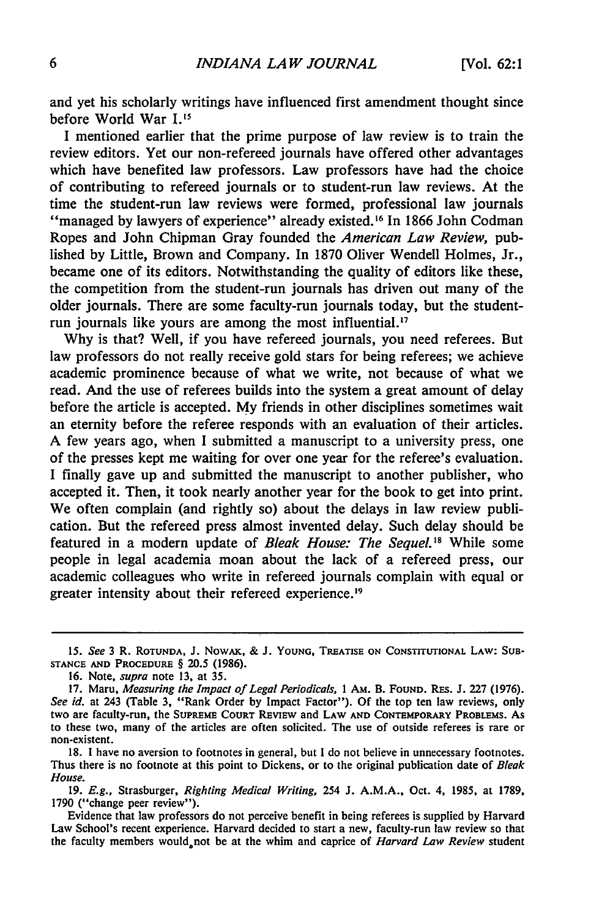and yet his scholarly writings have influenced first amendment thought since before World War **I.15**

I mentioned earlier that the prime purpose of law review is to train the review editors. Yet our non-refereed journals have offered other advantages which have benefited law professors. Law professors have had the choice of contributing to refereed journals or to student-run law reviews. At the time the student-run law reviews were formed, professional law journals "managed by lawyers of experience" already existed.<sup>16</sup> In 1866 John Codman Ropes and John Chipman Gray founded the *American Law Review,* published by Little, Brown and Company. In 1870 Oliver Wendell Holmes, Jr., became one of its editors. Notwithstanding the quality of editors like these, the competition from the student-run journals has driven out many of the older journals. There are some faculty-run journals today, but the studentrun journals like yours are among the most influential.<sup>17</sup>

Why is that? Well, if you have refereed journals, you need referees. But law professors do not really receive gold stars for being referees; we achieve academic prominence because of what we write, not because of what we read. And the use of referees builds into the system a great amount of delay before the article is accepted. My friends in other disciplines sometimes wait an eternity before the referee responds with an evaluation of their articles. A few years ago, when I submitted a manuscript to a university press, one of the presses kept me waiting for over one year for the referee's evaluation. I finally gave up and submitted the manuscript to another publisher, who accepted it. Then, it took nearly another year for the book to get into print. We often complain (and rightly so) about the delays in law review publication. But the refereed press almost invented delay. Such delay should be featured in a modern update of *Bleak House: The Sequel.'8* While some people in legal academia moan about the lack of a refereed press, our academic colleagues who write in refereed journals complain with equal or greater intensity about their refereed experience.<sup>19</sup>

*<sup>15.</sup> See* **3 R. ROTUNDA, J. NOWAK, & J. YOUNG, TREATISE ON CONSTITUTIONAL LAW: SUB-STANCE AND PROCEDURE** § **20.5 (1986).**

<sup>16.</sup> Note, *supra* note 13, at 35.

<sup>17.</sup> Maru, *Measuring the Impact of Legal Periodicals,* 1 **AM.** B. FOUND. RES. J. 227 (1976). *See id.* at 243 (Table **3,** "Rank Order by Impact Factor"). Of the top ten law reviews, only **two** are faculty-run, the **SUPREME COURT** REVIEW and LAW **AND CONTEMPORARY PROBLEMS. AS** to these two, many of the articles are often solicited. The use of outside referees is rare or non-existent.

**<sup>18.</sup>** [ have no aversion to footnotes in general, but **I** do not believe in unnecessary footnotes. Thus there is no footnote at this point to Dickens, or to the original publication date of *Bleak House.*

**<sup>19.</sup>** *E.g.,* Strasburger, *Righting Medical Writing,* 254 **J. A.M.A.,** Oct. 4, **1985,** at **1789, 1790** ("change peer review").

Evidence that law professors do not perceive benefit in being referees is supplied **by** Harvard Law School's recent experience. Harvard decided to start a new, faculty-run law review so that the faculty members would not be at the whim and caprice of *Harvard Law Review* student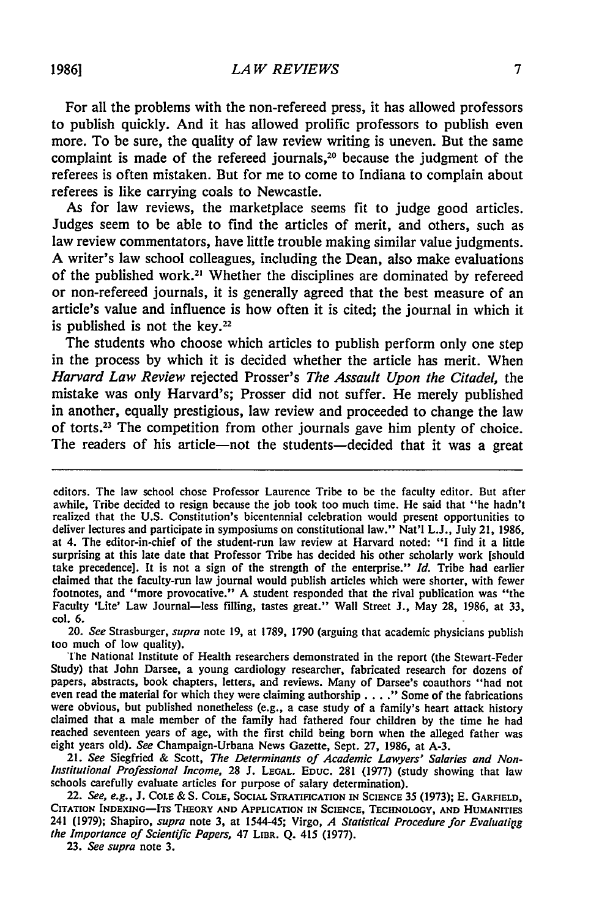For all the problems with the non-refereed press, it has allowed professors to publish quickly. And it has allowed prolific professors to publish even more. To be sure, the quality of law review writing is uneven. But the same complaint is made of the refereed journals,<sup>20</sup> because the judgment of the referees is often mistaken. But for me to come to Indiana to complain about referees is like carrying coals to Newcastle.

As for **law** reviews, the marketplace seems fit to judge good articles. Judges seem to be able to find the articles of merit, and others, such as law review commentators, have little trouble making similar value judgments. **A** writer's law school colleagues, including the Dean, also make evaluations of the published work. 2' Whether the disciplines are dominated **by** refereed or non-refereed journals, it is generally agreed that the best measure of an article's value and influence is how often it is cited; the journal in which it is published is not the key. $22$ 

The students who choose which articles to publish perform only one step in the process **by** which it is decided whether the article has merit. When *Harvard Law Review* rejected Prosser's *The Assault Upon the Citadel,* the mistake was only Harvard's; Prosser did not suffer. He merely published in another, equally prestigious, law review and proceeded to change the law of torts.<sup>23</sup> The competition from other journals gave him plenty of choice. The readers of his article-not the students-decided that it was a great

20. *See* Strasburger, *supra* note 19, at 1789, 1790 (arguing that academic physicians publish too much of low quality).

**23.** *See supra* note **3.**

editors. The law school chose Professor Laurence Tribe to be the faculty editor. But after awhile, Tribe decided to resign because the job took too much time. He said that "he hadn't realized that the U.S. Constitution's bicentennial celebration would present opportunities to deliver lectures and participate in symposiums on constitutional law." Nat'l L.J., July 21, 1986, at 4. The editor-in-chief of the student-run law review at Harvard noted: "I find it a little surprising at this late date that Professor Tribe has decided his other scholarly work [should take precedence]. It is not a sign of the strength of the enterprise." *Id.* Tribe had earlier claimed that the faculty-run law journal would publish articles which were shorter, with fewer footnotes, and "more provocative." A student responded that the rival publication was "the Faculty 'Lite' Law JournaI-less filling, tastes great." Wall Street J., May 28, 1986, at **33,** col. 6.

The National Institute of Health researchers demonstrated in the report (the Stewart-Feder Study) that John Darsee, a young cardiology researcher, fabricated research for dozens of papers, abstracts, book chapters, letters, and reviews. Many of Darsee's coauthors "had not even read the material for which they were claiming authorship . **. . ."** Some of the fabrications were obvious, but published nonetheless (e.g., a case study of a family's heart attack history claimed that a male member of the family had fathered four children by the time he had reached seventeen years of age, with the first child being born when the alleged father was eight years old). *See* Champaign-Urbana News Gazette, Sept. 27, 1986, at A-3.

<sup>21.</sup> *See* Siegfried & Scott, *The Determinants of Academic Lawyers' Salaries and Non-Institutional Professional Income,* 28 J. LEGAL. EDUC. 281 (1977) (study showing that law schools carefully evaluate articles for purpose of salary determination).

<sup>22.</sup> *See, e.g.,* **J. COLE &** S. **COLE,** SOCIAL **STRATIFICATION** IN **SCIENCE** 35 (1973); **E.** GARFIELD, **CITATION** INDEXING-ITs THEORY **AND APPLICATION IN SCIENCE, TECHNOLOGY, AND** HUMANITIES <sup>241</sup>**(1979);** Shapiro, *supra* note **3,** at 1544-45; Virgo, *A Statistical Procedure for Evaluating the Importance of Scientific Papers,* 47 LIBR. **Q.** 415 **(1977).**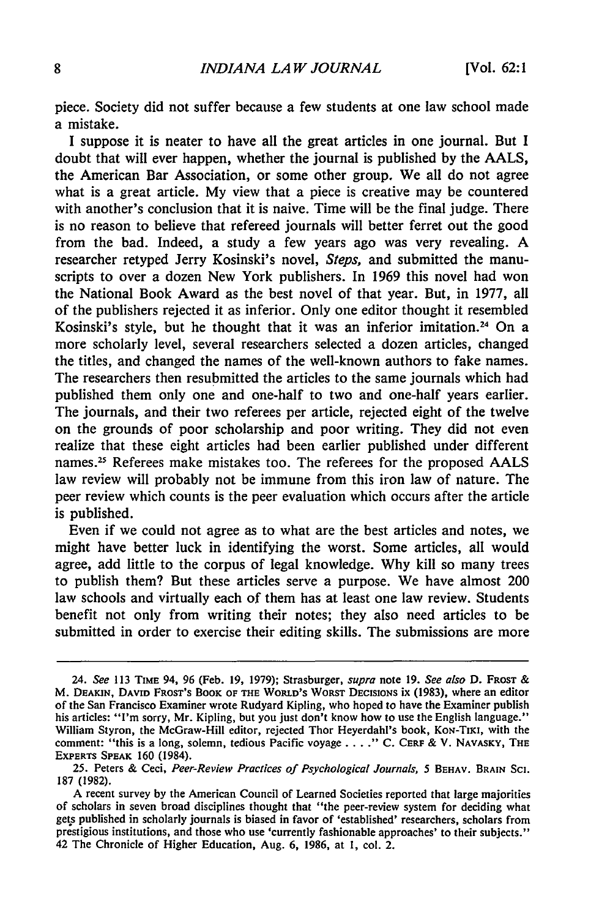piece. Society did not suffer because a few students at one law school made a mistake.

I suppose it is neater to have all the great articles in one journal. But I doubt that will ever happen, whether the journal is published by the AALS, the American Bar Association, or some other group. We all do not agree what is a great article. My view that a piece is creative may be countered with another's conclusion that it is naive. Time will be the final judge. There is no reason to believe that refereed journals will better ferret out the good from the bad. Indeed, a study a few years ago was very revealing. A researcher retyped Jerry Kosinski's novel, *Steps,* and submitted the manuscripts to over a dozen New York publishers. In 1969 this novel had won the National Book Award as the best novel of that year. But, in 1977, all of the publishers rejected it as inferior. Only one editor thought it resembled Kosinski's style, but he thought that it was an inferior imitation.<sup>24</sup> On a more scholarly level, several researchers selected a dozen articles, changed the titles, and changed the names of the well-known authors to fake names. The researchers then resubmitted the articles to the same journals which had published them only one and one-half to two and one-half years earlier. The journals, and their two referees per article, rejected eight of the twelve on the grounds of poor scholarship and poor writing. They did not even realize that these eight articles had been earlier published under different names.<sup>25</sup> Referees make mistakes too. The referees for the proposed AALS law review will probably not be immune from this iron law of nature. The peer review which counts is the peer evaluation which occurs after the article is published.

Even if we could not agree as to what are the best articles and notes, we might have better luck in identifying the worst. Some articles, all would agree, add little to the corpus of legal knowledge. Why kill so many trees to publish them? But these articles serve a purpose. We have almost 200 law schools and virtually each of them has at least one law review. Students benefit not only from writing their notes; they also need articles to be submitted in order to exercise their editing skills. The submissions are more

<sup>24.</sup> *See* 113 TIME 94, 96 (Feb. 19, 1979); Strasburger, *supra* note 19. *See also* D. FROST & **M. DEAKIN, DAVID FROST'S** BOOK **OF THE WORLD'S WORST DECISIONS ix (1983),** where an editor of the San Francisco Examiner wrote Rudyard Kipling, who hoped to have the Examiner publish his articles: "I'm sorry, Mr. Kipling, but you just don't know how to use the English language." William Styron, the McGraw-Hill editor, rejected Thor Heyerdahl's book, Kon-TIKI, with the comment: "this is a long, solemn, tedious Pacific voyage **.... " C. CERF** & V. **NAVASKY, THE ExPERTs SPEAK 160** (1984).

**<sup>25.</sup>** Peters & Ceci, *Peer-Review Practices of Psychological Journals, 5* **BEHAV. BRAIN SCI.** 187 (1982).

A recent survey by the American Council of Learned Societies reported that large majorities of scholars in seven broad disciplines thought that "the peer-review system for deciding what gets published in scholarly journals is biased in favor of 'established' researchers, scholars from prestigious institutions, and those who use 'currently fashionable approaches' to their subjects." 42 The Chronicle of Higher Education, Aug. **6,** 1986, at I, col. 2.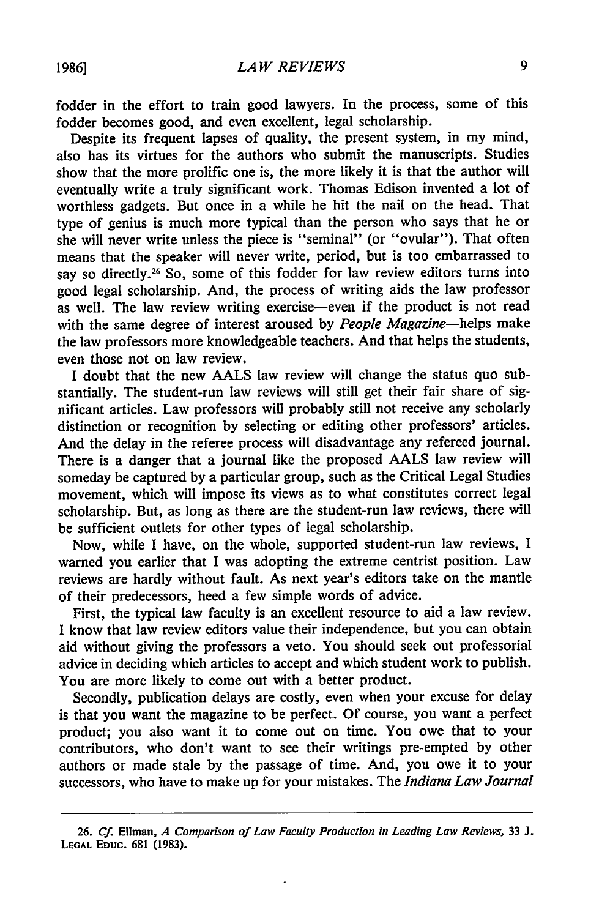fodder in the effort to train good lawyers. In the process, some of this fodder becomes good, and even excellent, legal scholarship.

Despite its frequent lapses of quality, the present system, in my mind, also has its virtues for the authors who submit the manuscripts. Studies show that the more prolific one is, the more likely it is that the author will eventually write a truly significant work. Thomas Edison invented a lot of worthless gadgets. But once in a while he hit the nail on the head. That type of genius is much more typical than the person who says that he or she will never write unless the piece is "seminal" (or "ovular"). That often means that the speaker will never write, period, but is too embarrassed to say so directly.<sup>26</sup> So, some of this fodder for law review editors turns into good legal scholarship. And, the process of writing aids the law professor as well. The law review writing exercise—even if the product is not read with the same degree of interest aroused by *People Magazine-helps* make the law professors more knowledgeable teachers. And that helps the students, even those not on law review.

I doubt that the new AALS law review will change the status quo substantially. The student-run law reviews will still get their fair share of significant articles. Law professors will probably still not receive any scholarly distinction or recognition by selecting or editing other professors' articles. And the delay in the referee process will disadvantage any refereed journal. There is a danger that a journal like the proposed AALS law review will someday be captured by a particular group, such as the Critical Legal Studies movement, which will impose its views as to what constitutes correct legal scholarship. But, as long as there are the student-run law reviews, there will be sufficient outlets for other types of legal scholarship.

Now, while I have, on the whole, supported student-run law reviews, I warned you earlier that I was adopting the extreme centrist position. Law reviews are hardly without fault. As next year's editors take on the mantle of their predecessors, heed a few simple words of advice.

First, the typical law faculty is an excellent resource to aid a law review. I know that law review editors value their independence, but you can obtain aid without giving the professors a veto. You should seek out professorial advice in deciding which articles to accept and which student work to publish. You are more likely to come out with a better product.

Secondly, publication delays are costly, even when your excuse for delay is that you want the magazine to be perfect. Of course, you want a perfect product; you also want it to come out on time. You owe that to your contributors, who don't want to see their writings pre-empted by other authors or made stale by the passage of time. And, you owe it to your successors, who have to make up for your mistakes. The *Indiana Law Journal*

**<sup>26.</sup>** *Cf.* Ellman, *A Comparison of Law Faculty Production in Leading Law Reviews,* **33 J. LEGAL EDUC. 681 (1983).**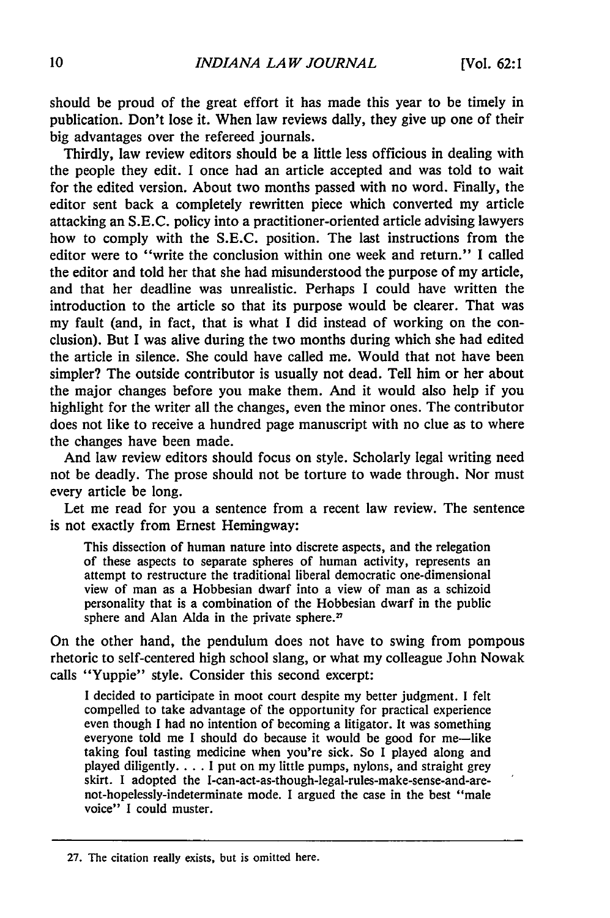should be proud of the great effort it has made this year to be timely in publication. Don't lose it. When law reviews dally, they give up one of their big advantages over the refereed journals.

Thirdly, law review editors should be a little less officious in dealing with the people they edit. **I** once had an article accepted and was told to wait for the edited version. About two months passed with no word. Finally, the editor sent back a completely rewritten piece which converted my article attacking an **S.E.C.** policy into a practitioner-oriented article advising lawyers how to comply with the **S.E.C.** position. The last instructions from the editor were to "write the conclusion within one week and return." I called the editor and told her that she had misunderstood the purpose of my article, and that her deadline was unrealistic. Perhaps I could have written the introduction to the article so that its purpose would be clearer. That was my fault (and, in fact, that is what I did instead of working on the conclusion). But I was alive during the two months during which she had edited the article in silence. She could have called me. Would that not have been simpler? The outside contributor is usually not dead. Tell him or her about the major changes before you make them. And it would also help if you highlight for the writer all the changes, even the minor ones. The contributor does not like to receive a hundred page manuscript with no clue as to where the changes have been made.

And law review editors should focus on style. Scholarly legal writing need not be deadly. The prose should not be torture to wade through. Nor must every article be long.

Let me read for you a sentence from a recent law review. The sentence is not exactly from Ernest Hemingway:

This dissection of human nature into discrete aspects, and the relegation of these aspects to separate spheres of human activity, represents an attempt to restructure the traditional liberal democratic one-dimensional view of man as a Hobbesian dwarf into a view of man as a schizoid personality that is a combination of the Hobbesian dwarf in the public sphere and Alan Alda in the private sphere. $<sup>n</sup>$ </sup>

On the other hand, the pendulum does not have to swing from pompous rhetoric to self-centered high school slang, or what my colleague John Nowak calls "Yuppie" style. Consider this second excerpt:

I decided to participate in moot court despite my better judgment. **I** felt compelled to take advantage of the opportunity for practical experience even though **I** had no intention of becoming a litigator. It was something everyone told me I should do because it would be good for me-like taking foul tasting medicine when you're sick. So I played along and played diligently **....** I put on my little pumps, nylons, and straight grey skirt. **I** adopted the I-can-act-as-though-legal-rules-make-sense-and-arenot-hopelessly-indeterminate mode. I argued the case in the best "male voice" **I** could muster.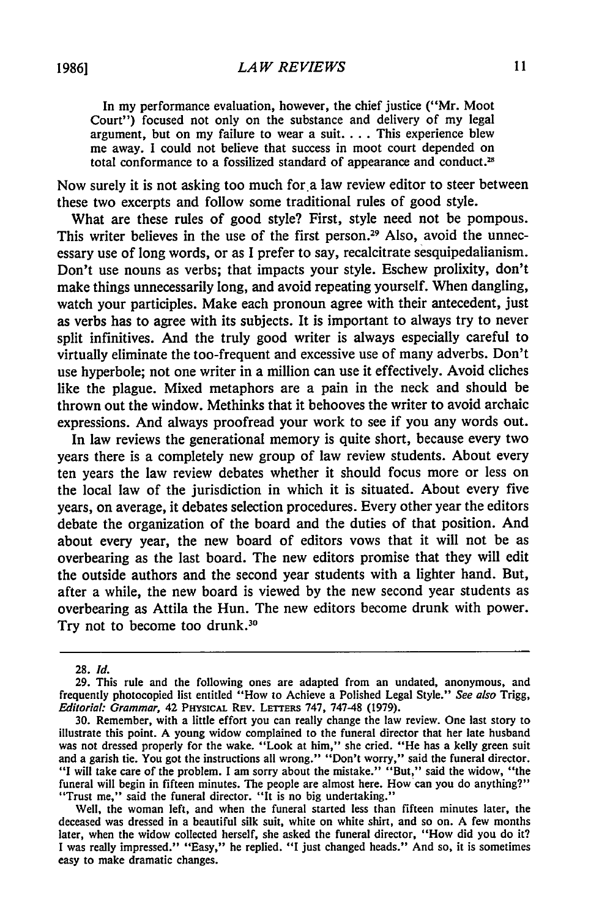In my performance evaluation, however, the chief justice ("Mr. Moot Court") focused not only on the substance and delivery of my legal argument, but on my failure to wear a suit.... This experience blew me away. I could not believe that success in moot court depended on total conformance to a fossilized standard of appearance and conduct.

Now surely it is not asking too much for a law review editor to steer between these two excerpts and follow some traditional rules of good style.

What are these rules of good style? First, style need not be pompous. This writer believes in the use of the first person.<sup>29</sup> Also, avoid the unnecessary use of long words, or as I prefer to say, recalcitrate sesquipedalianism. Don't use nouns as verbs; that impacts your style. Eschew prolixity, don't make things unnecessarily long, and avoid repeating yourself. When dangling, watch your participles. Make each pronoun agree with their antecedent, just as verbs has to agree with its subjects. It is important to always try to never split infinitives. And the truly good writer is always especially careful to virtually eliminate the too-frequent and excessive use of many adverbs. Don't use hyperbole; not one writer in a million can use it effectively. Avoid cliches like the plague. Mixed metaphors are a pain in the neck and should be thrown out the window. Methinks that it behooves the writer to avoid archaic expressions. And always proofread your work to see if you any words out.

In law reviews the generational memory is quite short, because every two years there is a completely new group of law review students. About every ten years the law review debates whether it should focus more or less on the local law of the jurisdiction in which it is situated. About every five years, on average, it debates selection procedures. Every other year the editors debate the organization of the board and the duties of that position. And about every year, the new board of editors vows that it will not be as overbearing as the last board. The new editors promise that they will edit the outside authors and the second year students with a lighter hand. But, after a while, the new board is viewed by the new second year students as overbearing as Attila the Hun. The new editors become drunk with power. Try not to become too drunk.<sup>30</sup>

**<sup>28.</sup>** *Id.*

<sup>29.</sup> This rule and the following ones are adapted from an undated, anonymous, and frequently photocopied list entitled "How to Achieve a Polished Legal Style." *See also* Trigg, Editorial: Grammar, 42 PHySiCAL REv. **LETTERs** 747, 747-48 (1979).

**<sup>30.</sup>** Remember, with a little effort you can really change the law review. One last story to illustrate this point. A young widow complained to the funeral director that her late husband was not dressed properly for the wake. "Look at him," she cried. "He has a kelly green suit and a garish tie. You got the instructions all wrong." "Don't worry," said the funeral director. **"I** will take care of the problem. I am sorry about the mistake." "But," said the widow, "the funeral will begin in fifteen minutes. The people are almost here. How can you do anything?<br>"Trust me," said the funeral director. "It is no big undertaking."

Well, the woman left, and when the funeral started less than fifteen minutes later, the deceased was dressed in a beautiful silk suit, white on white shirt, and so on. A few months later, when the widow collected herself, she asked the funeral director, "How did you do it? I was really impressed." "Easy," he replied. "I just changed heads." And so, it is sometimes easy to make dramatic changes.